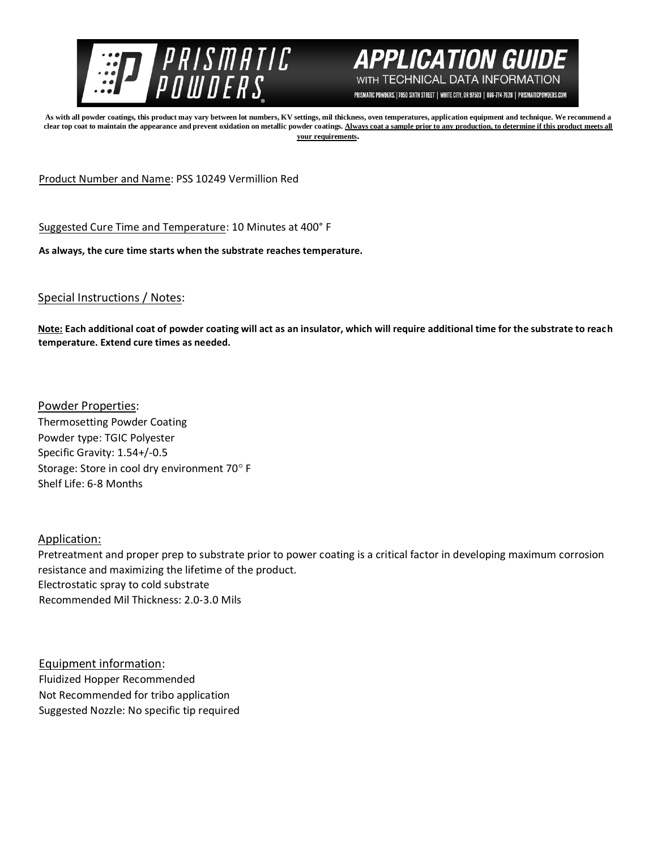



PRISMATIC POWDERS. | 7050 SIXTH STREET | WHITE CITY, OR 97503 | 866-774-7628 | PRISMATICPOWDERS.COM

**As with all powder coatings, this product may vary between lot numbers, KV settings, mil thickness, oven temperatures, application equipment and technique. We recommend a**  clear top coat to maintain the appearance and prevent oxidation on metallic powder coatings. Always coat a sample prior to any production, to determine if this product meets all **your requirements.** 

Product Number and Name: PSS 10249 Vermillion Red

Suggested Cure Time and Temperature: 10 Minutes at 400° F

**As always, the cure time starts when the substrate reaches temperature.**

Special Instructions / Notes:

**Note: Each additional coat of powder coating will act as an insulator, which will require additional time for the substrate to reach temperature. Extend cure times as needed.** 

Powder Properties: Thermosetting Powder Coating Powder type: TGIC Polyester Specific Gravity: 1.54+/-0.5 Storage: Store in cool dry environment 70° F Shelf Life: 6-8 Months

Application:

Pretreatment and proper prep to substrate prior to power coating is a critical factor in developing maximum corrosion resistance and maximizing the lifetime of the product. Electrostatic spray to cold substrate Recommended Mil Thickness: 2.0-3.0 Mils

Equipment information: Fluidized Hopper Recommended Not Recommended for tribo application Suggested Nozzle: No specific tip required